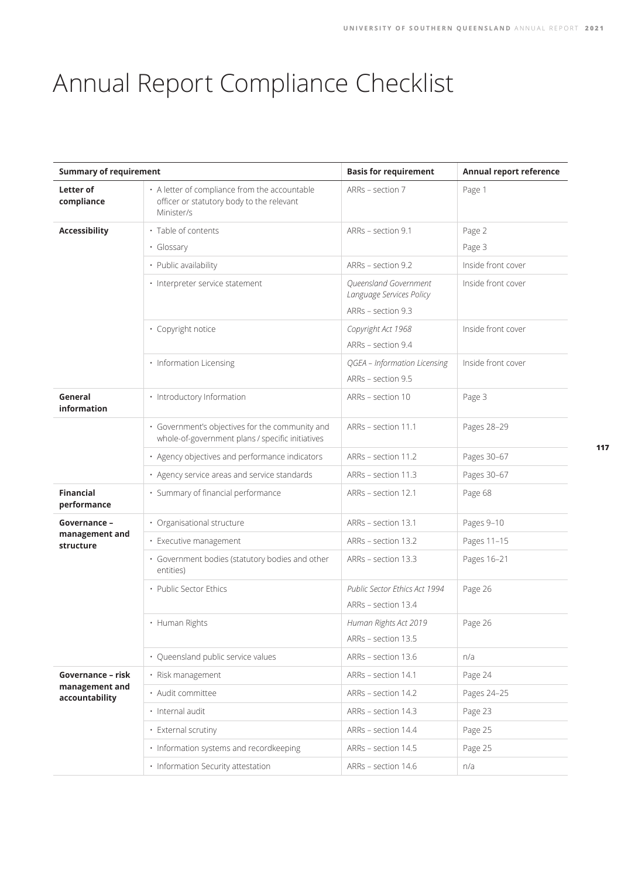## Annual Report Compliance Checklist

|                                                       | <b>Summary of requirement</b>                                                                            |                                                   | Annual report reference |
|-------------------------------------------------------|----------------------------------------------------------------------------------------------------------|---------------------------------------------------|-------------------------|
| Letter of<br>compliance                               | • A letter of compliance from the accountable<br>officer or statutory body to the relevant<br>Minister/s | ARRs - section 7                                  | Page 1                  |
| <b>Accessibility</b>                                  | · Table of contents                                                                                      | ARRs - section 9.1                                | Page 2                  |
|                                                       | · Glossary                                                                                               |                                                   | Page 3                  |
|                                                       | • Public availability                                                                                    | ARRs - section 9.2                                | Inside front cover      |
|                                                       | · Interpreter service statement                                                                          | Queensland Government<br>Language Services Policy | Inside front cover      |
|                                                       |                                                                                                          | ARRs - section 9.3                                |                         |
|                                                       | · Copyright notice                                                                                       | Copyright Act 1968                                | Inside front cover      |
|                                                       |                                                                                                          | ARRs - section 9.4                                |                         |
|                                                       | · Information Licensing                                                                                  | QGEA - Information Licensing                      | Inside front cover      |
|                                                       |                                                                                                          | ARRs - section 9.5                                |                         |
| General<br>information                                | · Introductory Information                                                                               | ARRs - section 10                                 | Page 3                  |
|                                                       | · Government's objectives for the community and<br>whole-of-government plans / specific initiatives      | ARRs - section 11.1                               | Pages 28-29             |
|                                                       | · Agency objectives and performance indicators                                                           | ARRs - section 11.2                               | Pages 30-67             |
|                                                       | · Agency service areas and service standards                                                             | ARRs - section 11.3                               | Pages 30-67             |
| <b>Financial</b><br>performance                       | · Summary of financial performance                                                                       | ARRs - section 12.1                               | Page 68                 |
| Governance -                                          | · Organisational structure                                                                               | ARRs - section 13.1                               | Pages 9-10              |
| management and<br>structure                           | · Executive management                                                                                   | ARRs - section 13.2                               | Pages 11-15             |
|                                                       | · Government bodies (statutory bodies and other<br>entities)                                             | ARRs - section 13.3                               | Pages 16-21             |
|                                                       | · Public Sector Ethics                                                                                   | Public Sector Ethics Act 1994                     | Page 26                 |
|                                                       |                                                                                                          | ARRs - section 13.4                               |                         |
|                                                       | • Human Rights                                                                                           | Human Rights Act 2019                             | Page 26                 |
|                                                       |                                                                                                          | ARRs - section 13.5                               |                         |
|                                                       | · Queensland public service values                                                                       | ARRs - section 13.6                               | n/a                     |
| Governance - risk<br>management and<br>accountability | · Risk management                                                                                        | ARRs - section 14.1                               | Page 24                 |
|                                                       | · Audit committee                                                                                        | ARRs - section 14.2                               | Pages 24-25             |
|                                                       | · Internal audit                                                                                         | ARRs - section 14.3                               | Page 23                 |
|                                                       | • External scrutiny                                                                                      | ARRs - section 14.4                               | Page 25                 |
|                                                       | · Information systems and recordkeeping                                                                  | ARRs - section 14.5                               | Page 25                 |
|                                                       | • Information Security attestation                                                                       | ARRs - section 14.6                               | n/a                     |